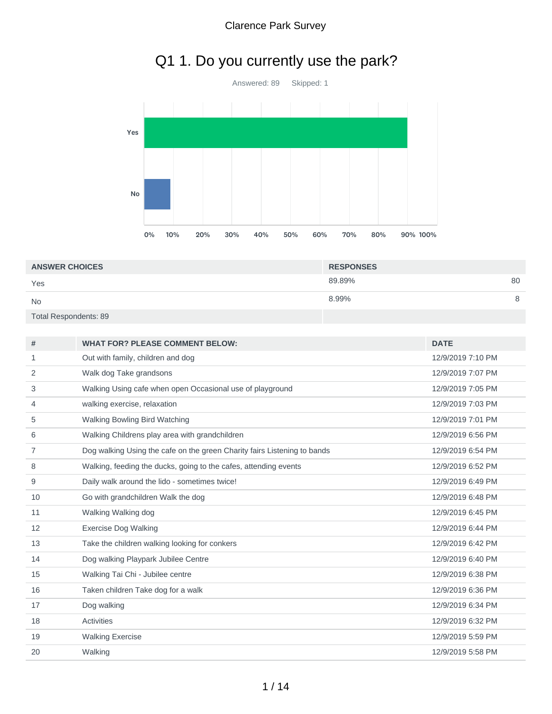## Q1 1. Do you currently use the park?



| <b>ANSWER CHOICES</b>        | <b>RESPONSES</b> |    |
|------------------------------|------------------|----|
| Yes                          | 89.89%           | 80 |
| <b>No</b>                    | 8.99%            | 8  |
| <b>Total Respondents: 89</b> |                  |    |

| #  | <b>WHAT FOR? PLEASE COMMENT BELOW:</b>                                   | <b>DATE</b>       |
|----|--------------------------------------------------------------------------|-------------------|
| 1  | Out with family, children and dog                                        | 12/9/2019 7:10 PM |
| 2  | Walk dog Take grandsons                                                  | 12/9/2019 7:07 PM |
| 3  | Walking Using cafe when open Occasional use of playground                | 12/9/2019 7:05 PM |
| 4  | walking exercise, relaxation                                             | 12/9/2019 7:03 PM |
| 5  | Walking Bowling Bird Watching                                            | 12/9/2019 7:01 PM |
| 6  | Walking Childrens play area with grandchildren                           | 12/9/2019 6:56 PM |
| 7  | Dog walking Using the cafe on the green Charity fairs Listening to bands | 12/9/2019 6:54 PM |
| 8  | Walking, feeding the ducks, going to the cafes, attending events         | 12/9/2019 6:52 PM |
| 9  | Daily walk around the lido - sometimes twice!                            | 12/9/2019 6:49 PM |
| 10 | Go with grandchildren Walk the dog                                       | 12/9/2019 6:48 PM |
| 11 | Walking Walking dog                                                      | 12/9/2019 6:45 PM |
| 12 | <b>Exercise Dog Walking</b>                                              | 12/9/2019 6:44 PM |
| 13 | Take the children walking looking for conkers                            | 12/9/2019 6:42 PM |
| 14 | Dog walking Playpark Jubilee Centre                                      | 12/9/2019 6:40 PM |
| 15 | Walking Tai Chi - Jubilee centre                                         | 12/9/2019 6:38 PM |
| 16 | Taken children Take dog for a walk                                       | 12/9/2019 6:36 PM |
| 17 | Dog walking                                                              | 12/9/2019 6:34 PM |
| 18 | <b>Activities</b>                                                        | 12/9/2019 6:32 PM |
| 19 | <b>Walking Exercise</b>                                                  | 12/9/2019 5:59 PM |
| 20 | Walking                                                                  | 12/9/2019 5:58 PM |
|    |                                                                          |                   |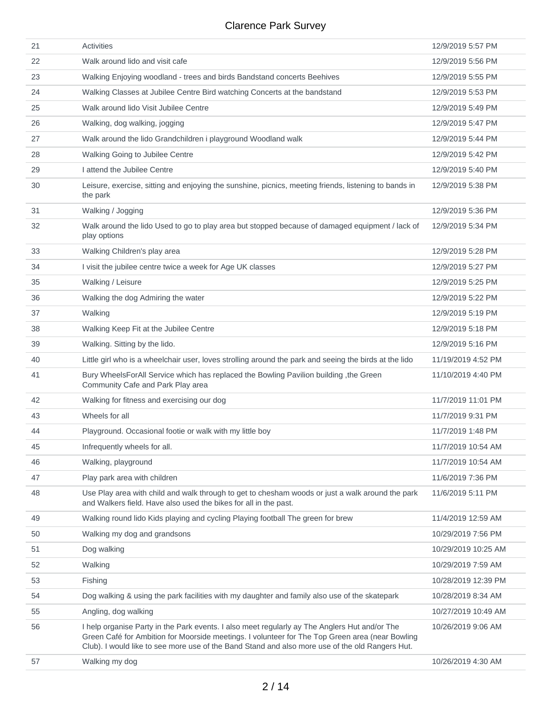| 21 | <b>Activities</b>                                                                                                                                                                                                                                                                                   | 12/9/2019 5:57 PM   |
|----|-----------------------------------------------------------------------------------------------------------------------------------------------------------------------------------------------------------------------------------------------------------------------------------------------------|---------------------|
| 22 | Walk around lido and visit cafe                                                                                                                                                                                                                                                                     | 12/9/2019 5:56 PM   |
| 23 | Walking Enjoying woodland - trees and birds Bandstand concerts Beehives                                                                                                                                                                                                                             | 12/9/2019 5:55 PM   |
| 24 | Walking Classes at Jubilee Centre Bird watching Concerts at the bandstand                                                                                                                                                                                                                           | 12/9/2019 5:53 PM   |
| 25 | Walk around lido Visit Jubilee Centre                                                                                                                                                                                                                                                               | 12/9/2019 5:49 PM   |
| 26 | Walking, dog walking, jogging                                                                                                                                                                                                                                                                       | 12/9/2019 5:47 PM   |
| 27 | Walk around the lido Grandchildren i playground Woodland walk                                                                                                                                                                                                                                       | 12/9/2019 5:44 PM   |
| 28 | Walking Going to Jubilee Centre                                                                                                                                                                                                                                                                     | 12/9/2019 5:42 PM   |
| 29 | I attend the Jubilee Centre                                                                                                                                                                                                                                                                         | 12/9/2019 5:40 PM   |
| 30 | Leisure, exercise, sitting and enjoying the sunshine, picnics, meeting friends, listening to bands in<br>the park                                                                                                                                                                                   | 12/9/2019 5:38 PM   |
| 31 | Walking / Jogging                                                                                                                                                                                                                                                                                   | 12/9/2019 5:36 PM   |
| 32 | Walk around the lido Used to go to play area but stopped because of damaged equipment / lack of<br>play options                                                                                                                                                                                     | 12/9/2019 5:34 PM   |
| 33 | Walking Children's play area                                                                                                                                                                                                                                                                        | 12/9/2019 5:28 PM   |
| 34 | I visit the jubilee centre twice a week for Age UK classes                                                                                                                                                                                                                                          | 12/9/2019 5:27 PM   |
| 35 | Walking / Leisure                                                                                                                                                                                                                                                                                   | 12/9/2019 5:25 PM   |
| 36 | Walking the dog Admiring the water                                                                                                                                                                                                                                                                  | 12/9/2019 5:22 PM   |
| 37 | Walking                                                                                                                                                                                                                                                                                             | 12/9/2019 5:19 PM   |
| 38 | Walking Keep Fit at the Jubilee Centre                                                                                                                                                                                                                                                              | 12/9/2019 5:18 PM   |
| 39 | Walking. Sitting by the lido.                                                                                                                                                                                                                                                                       | 12/9/2019 5:16 PM   |
| 40 | Little girl who is a wheelchair user, loves strolling around the park and seeing the birds at the lido                                                                                                                                                                                              | 11/19/2019 4:52 PM  |
| 41 | Bury WheelsForAll Service which has replaced the Bowling Pavilion building ,the Green<br>Community Cafe and Park Play area                                                                                                                                                                          | 11/10/2019 4:40 PM  |
| 42 | Walking for fitness and exercising our dog                                                                                                                                                                                                                                                          | 11/7/2019 11:01 PM  |
| 43 | Wheels for all                                                                                                                                                                                                                                                                                      | 11/7/2019 9:31 PM   |
| 44 | Playground. Occasional footie or walk with my little boy                                                                                                                                                                                                                                            | 11/7/2019 1:48 PM   |
| 45 | Infrequently wheels for all.                                                                                                                                                                                                                                                                        | 11/7/2019 10:54 AM  |
| 46 | Walking, playground                                                                                                                                                                                                                                                                                 | 11/7/2019 10:54 AM  |
| 47 | Play park area with children                                                                                                                                                                                                                                                                        | 11/6/2019 7:36 PM   |
| 48 | Use Play area with child and walk through to get to chesham woods or just a walk around the park<br>and Walkers field. Have also used the bikes for all in the past.                                                                                                                                | 11/6/2019 5:11 PM   |
| 49 | Walking round lido Kids playing and cycling Playing football The green for brew                                                                                                                                                                                                                     | 11/4/2019 12:59 AM  |
| 50 | Walking my dog and grandsons                                                                                                                                                                                                                                                                        | 10/29/2019 7:56 PM  |
| 51 | Dog walking                                                                                                                                                                                                                                                                                         | 10/29/2019 10:25 AM |
| 52 | Walking                                                                                                                                                                                                                                                                                             | 10/29/2019 7:59 AM  |
| 53 | Fishing                                                                                                                                                                                                                                                                                             | 10/28/2019 12:39 PM |
| 54 | Dog walking & using the park facilities with my daughter and family also use of the skatepark                                                                                                                                                                                                       | 10/28/2019 8:34 AM  |
| 55 | Angling, dog walking                                                                                                                                                                                                                                                                                | 10/27/2019 10:49 AM |
| 56 | I help organise Party in the Park events. I also meet regularly ay The Anglers Hut and/or The<br>Green Café for Ambition for Moorside meetings. I volunteer for The Top Green area (near Bowling<br>Club). I would like to see more use of the Band Stand and also more use of the old Rangers Hut. | 10/26/2019 9:06 AM  |
| 57 | Walking my dog                                                                                                                                                                                                                                                                                      | 10/26/2019 4:30 AM  |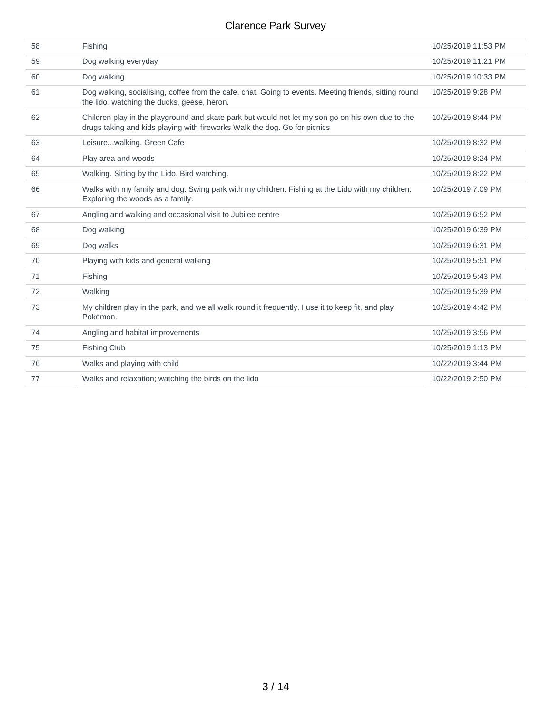| 58 | Fishing                                                                                                                                                                       | 10/25/2019 11:53 PM |
|----|-------------------------------------------------------------------------------------------------------------------------------------------------------------------------------|---------------------|
| 59 | Dog walking everyday                                                                                                                                                          | 10/25/2019 11:21 PM |
| 60 | Dog walking                                                                                                                                                                   | 10/25/2019 10:33 PM |
| 61 | Dog walking, socialising, coffee from the cafe, chat. Going to events. Meeting friends, sitting round<br>the lido, watching the ducks, geese, heron.                          | 10/25/2019 9:28 PM  |
| 62 | Children play in the playground and skate park but would not let my son go on his own due to the<br>drugs taking and kids playing with fireworks Walk the dog. Go for picnics | 10/25/2019 8:44 PM  |
| 63 | Leisurewalking, Green Cafe                                                                                                                                                    | 10/25/2019 8:32 PM  |
| 64 | Play area and woods                                                                                                                                                           | 10/25/2019 8:24 PM  |
| 65 | Walking. Sitting by the Lido. Bird watching.                                                                                                                                  | 10/25/2019 8:22 PM  |
| 66 | Walks with my family and dog. Swing park with my children. Fishing at the Lido with my children.<br>Exploring the woods as a family.                                          | 10/25/2019 7:09 PM  |
| 67 | Angling and walking and occasional visit to Jubilee centre                                                                                                                    | 10/25/2019 6:52 PM  |
| 68 | Dog walking                                                                                                                                                                   | 10/25/2019 6:39 PM  |
| 69 | Dog walks                                                                                                                                                                     | 10/25/2019 6:31 PM  |
| 70 | Playing with kids and general walking                                                                                                                                         | 10/25/2019 5:51 PM  |
| 71 | Fishing                                                                                                                                                                       | 10/25/2019 5:43 PM  |
| 72 | Walking                                                                                                                                                                       | 10/25/2019 5:39 PM  |
| 73 | My children play in the park, and we all walk round it frequently. I use it to keep fit, and play<br>Pokémon.                                                                 | 10/25/2019 4:42 PM  |
| 74 | Angling and habitat improvements                                                                                                                                              | 10/25/2019 3:56 PM  |
| 75 | <b>Fishing Club</b>                                                                                                                                                           | 10/25/2019 1:13 PM  |
| 76 | Walks and playing with child                                                                                                                                                  | 10/22/2019 3:44 PM  |
| 77 | Walks and relaxation; watching the birds on the lido                                                                                                                          | 10/22/2019 2:50 PM  |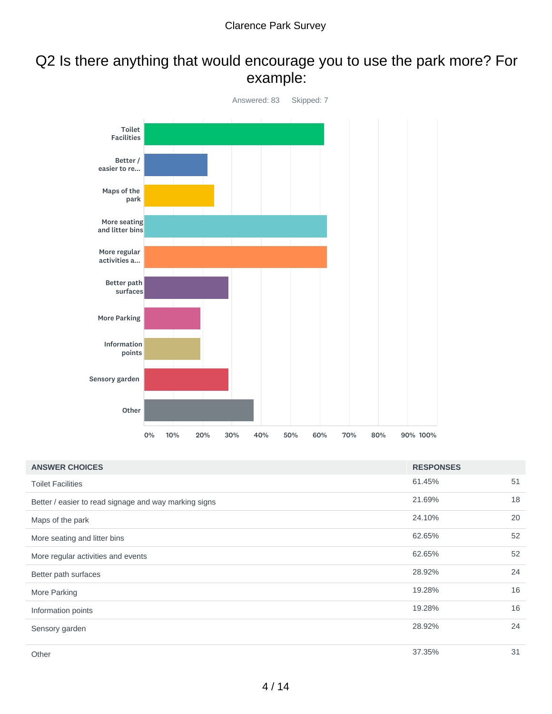## Q2 Is there anything that would encourage you to use the park more? For example:



| <b>ANSWER CHOICES</b>                                 | <b>RESPONSES</b> |    |
|-------------------------------------------------------|------------------|----|
| <b>Toilet Facilities</b>                              | 61.45%           | 51 |
| Better / easier to read signage and way marking signs | 21.69%           | 18 |
| Maps of the park                                      | 24.10%           | 20 |
| More seating and litter bins                          | 62.65%           | 52 |
| More regular activities and events                    | 62.65%           | 52 |
| Better path surfaces                                  | 28.92%           | 24 |
| More Parking                                          | 19.28%           | 16 |
| Information points                                    | 19.28%           | 16 |
| Sensory garden                                        | 28.92%           | 24 |
| Other                                                 | 37.35%           | 31 |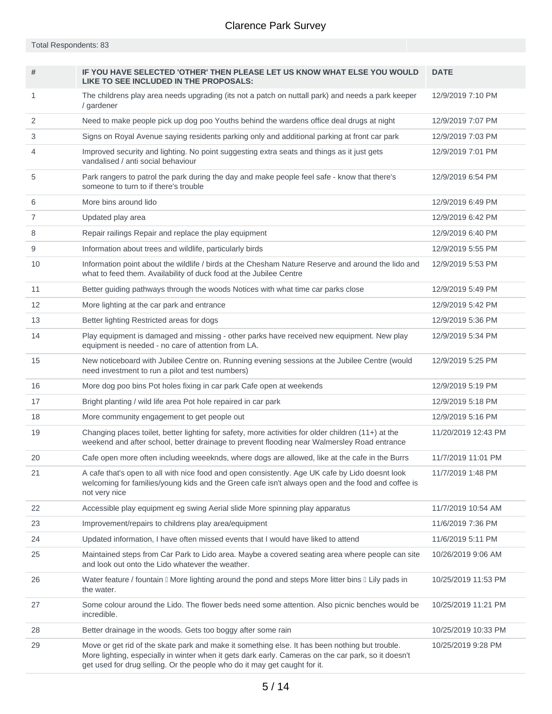Total Respondents: 83

| #  | IF YOU HAVE SELECTED 'OTHER' THEN PLEASE LET US KNOW WHAT ELSE YOU WOULD<br>LIKE TO SEE INCLUDED IN THE PROPOSALS:                                                                                                                                                                 | <b>DATE</b>         |
|----|------------------------------------------------------------------------------------------------------------------------------------------------------------------------------------------------------------------------------------------------------------------------------------|---------------------|
| 1  | The childrens play area needs upgrading (its not a patch on nuttall park) and needs a park keeper<br>/ gardener                                                                                                                                                                    | 12/9/2019 7:10 PM   |
| 2  | Need to make people pick up dog poo Youths behind the wardens office deal drugs at night                                                                                                                                                                                           | 12/9/2019 7:07 PM   |
| 3  | Signs on Royal Avenue saying residents parking only and additional parking at front car park                                                                                                                                                                                       | 12/9/2019 7:03 PM   |
| 4  | Improved security and lighting. No point suggesting extra seats and things as it just gets<br>vandalised / anti social behaviour                                                                                                                                                   | 12/9/2019 7:01 PM   |
| 5  | Park rangers to patrol the park during the day and make people feel safe - know that there's<br>someone to turn to if there's trouble                                                                                                                                              | 12/9/2019 6:54 PM   |
| 6  | More bins around lido                                                                                                                                                                                                                                                              | 12/9/2019 6:49 PM   |
| 7  | Updated play area                                                                                                                                                                                                                                                                  | 12/9/2019 6:42 PM   |
| 8  | Repair railings Repair and replace the play equipment                                                                                                                                                                                                                              | 12/9/2019 6:40 PM   |
| 9  | Information about trees and wildlife, particularly birds                                                                                                                                                                                                                           | 12/9/2019 5:55 PM   |
| 10 | Information point about the wildlife / birds at the Chesham Nature Reserve and around the lido and<br>what to feed them. Availability of duck food at the Jubilee Centre                                                                                                           | 12/9/2019 5:53 PM   |
| 11 | Better guiding pathways through the woods Notices with what time car parks close                                                                                                                                                                                                   | 12/9/2019 5:49 PM   |
| 12 | More lighting at the car park and entrance                                                                                                                                                                                                                                         | 12/9/2019 5:42 PM   |
| 13 | Better lighting Restricted areas for dogs                                                                                                                                                                                                                                          | 12/9/2019 5:36 PM   |
| 14 | Play equipment is damaged and missing - other parks have received new equipment. New play<br>equipment is needed - no care of attention from LA.                                                                                                                                   | 12/9/2019 5:34 PM   |
| 15 | New noticeboard with Jubilee Centre on. Running evening sessions at the Jubilee Centre (would<br>need investment to run a pilot and test numbers)                                                                                                                                  | 12/9/2019 5:25 PM   |
| 16 | More dog poo bins Pot holes fixing in car park Cafe open at weekends                                                                                                                                                                                                               | 12/9/2019 5:19 PM   |
| 17 | Bright planting / wild life area Pot hole repaired in car park                                                                                                                                                                                                                     | 12/9/2019 5:18 PM   |
| 18 | More community engagement to get people out                                                                                                                                                                                                                                        | 12/9/2019 5:16 PM   |
| 19 | Changing places toilet, better lighting for safety, more activities for older children (11+) at the<br>weekend and after school, better drainage to prevent flooding near Walmersley Road entrance                                                                                 | 11/20/2019 12:43 PM |
| 20 | Cafe open more often including weeeknds, where dogs are allowed, like at the cafe in the Burrs                                                                                                                                                                                     | 11/7/2019 11:01 PM  |
| 21 | A cafe that's open to all with nice food and open consistently. Age UK cafe by Lido doesnt look<br>welcoming for families/young kids and the Green cafe isn't always open and the food and coffee is<br>not very nice                                                              | 11/7/2019 1:48 PM   |
| 22 | Accessible play equipment eg swing Aerial slide More spinning play apparatus                                                                                                                                                                                                       | 11/7/2019 10:54 AM  |
| 23 | Improvement/repairs to childrens play area/equipment                                                                                                                                                                                                                               | 11/6/2019 7:36 PM   |
| 24 | Updated information, I have often missed events that I would have liked to attend                                                                                                                                                                                                  | 11/6/2019 5:11 PM   |
| 25 | Maintained steps from Car Park to Lido area. Maybe a covered seating area where people can site<br>and look out onto the Lido whatever the weather.                                                                                                                                | 10/26/2019 9:06 AM  |
| 26 | Water feature / fountain II More lighting around the pond and steps More litter bins II Lily pads in<br>the water.                                                                                                                                                                 | 10/25/2019 11:53 PM |
| 27 | Some colour around the Lido. The flower beds need some attention. Also picnic benches would be<br>incredible.                                                                                                                                                                      | 10/25/2019 11:21 PM |
| 28 | Better drainage in the woods. Gets too boggy after some rain                                                                                                                                                                                                                       | 10/25/2019 10:33 PM |
| 29 | Move or get rid of the skate park and make it something else. It has been nothing but trouble.<br>More lighting, especially in winter when it gets dark early. Cameras on the car park, so it doesn't<br>get used for drug selling. Or the people who do it may get caught for it. | 10/25/2019 9:28 PM  |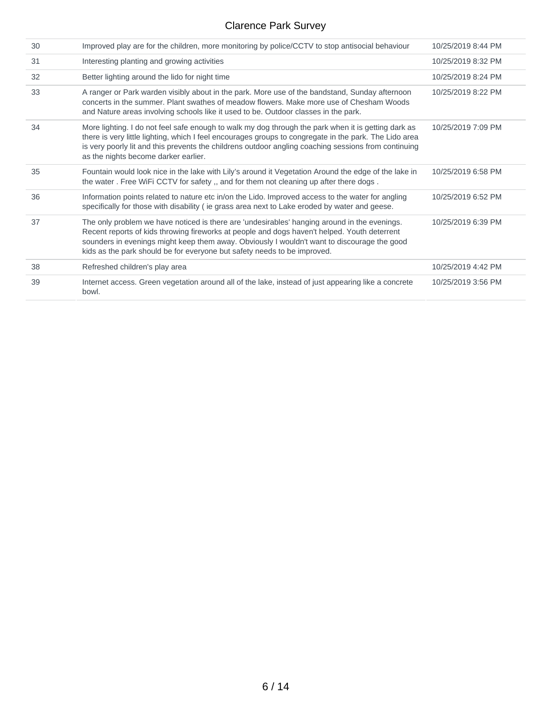| 30 | Improved play are for the children, more monitoring by police/CCTV to stop antisocial behaviour                                                                                                                                                                                                                                                                         | 10/25/2019 8:44 PM |
|----|-------------------------------------------------------------------------------------------------------------------------------------------------------------------------------------------------------------------------------------------------------------------------------------------------------------------------------------------------------------------------|--------------------|
| 31 | Interesting planting and growing activities                                                                                                                                                                                                                                                                                                                             | 10/25/2019 8:32 PM |
| 32 | Better lighting around the lido for night time                                                                                                                                                                                                                                                                                                                          | 10/25/2019 8:24 PM |
| 33 | A ranger or Park warden visibly about in the park. More use of the bandstand, Sunday afternoon<br>concerts in the summer. Plant swathes of meadow flowers. Make more use of Chesham Woods<br>and Nature areas involving schools like it used to be. Outdoor classes in the park.                                                                                        | 10/25/2019 8:22 PM |
| 34 | More lighting. I do not feel safe enough to walk my dog through the park when it is getting dark as<br>there is very little lighting, which I feel encourages groups to congregate in the park. The Lido area<br>is very poorly lit and this prevents the childrens outdoor angling coaching sessions from continuing<br>as the nights become darker earlier.           | 10/25/2019 7:09 PM |
| 35 | Fountain would look nice in the lake with Lily's around it Vegetation Around the edge of the lake in<br>the water. Free WiFi CCTV for safety, and for them not cleaning up after there dogs.                                                                                                                                                                            | 10/25/2019 6:58 PM |
| 36 | Information points related to nature etc in/on the Lido. Improved access to the water for angling<br>specifically for those with disability (ie grass area next to Lake eroded by water and geese.                                                                                                                                                                      | 10/25/2019 6:52 PM |
| 37 | The only problem we have noticed is there are 'undesirables' hanging around in the evenings.<br>Recent reports of kids throwing fireworks at people and dogs haven't helped. Youth deterrent<br>sounders in evenings might keep them away. Obviously I wouldn't want to discourage the good<br>kids as the park should be for everyone but safety needs to be improved. | 10/25/2019 6:39 PM |
| 38 | Refreshed children's play area                                                                                                                                                                                                                                                                                                                                          | 10/25/2019 4:42 PM |
| 39 | Internet access. Green vegetation around all of the lake, instead of just appearing like a concrete<br>bowl.                                                                                                                                                                                                                                                            | 10/25/2019 3:56 PM |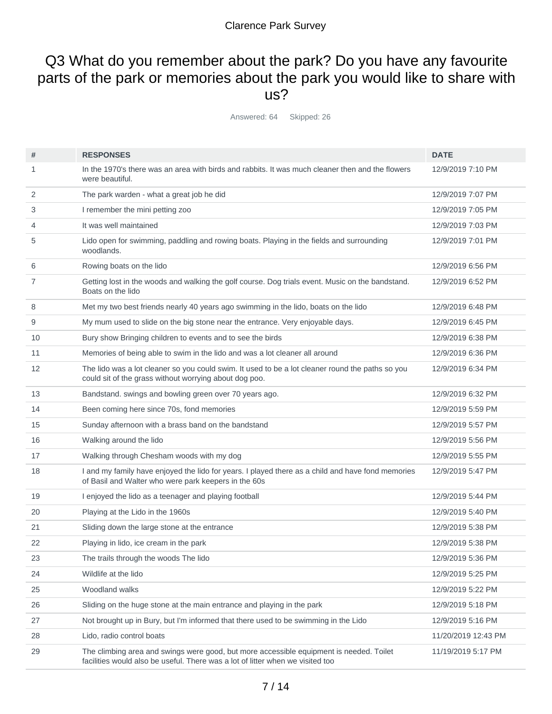### Q3 What do you remember about the park? Do you have any favourite parts of the park or memories about the park you would like to share with us?

Answered: 64 Skipped: 26

| #  | <b>RESPONSES</b>                                                                                                                                                          | <b>DATE</b>         |
|----|---------------------------------------------------------------------------------------------------------------------------------------------------------------------------|---------------------|
| 1  | In the 1970's there was an area with birds and rabbits. It was much cleaner then and the flowers<br>were beautiful.                                                       | 12/9/2019 7:10 PM   |
| 2  | The park warden - what a great job he did                                                                                                                                 | 12/9/2019 7:07 PM   |
| 3  | I remember the mini petting zoo                                                                                                                                           | 12/9/2019 7:05 PM   |
| 4  | It was well maintained                                                                                                                                                    | 12/9/2019 7:03 PM   |
| 5  | Lido open for swimming, paddling and rowing boats. Playing in the fields and surrounding<br>woodlands.                                                                    | 12/9/2019 7:01 PM   |
| 6  | Rowing boats on the lido                                                                                                                                                  | 12/9/2019 6:56 PM   |
| 7  | Getting lost in the woods and walking the golf course. Dog trials event. Music on the bandstand.<br>Boats on the lido                                                     | 12/9/2019 6:52 PM   |
| 8  | Met my two best friends nearly 40 years ago swimming in the lido, boats on the lido                                                                                       | 12/9/2019 6:48 PM   |
| 9  | My mum used to slide on the big stone near the entrance. Very enjoyable days.                                                                                             | 12/9/2019 6:45 PM   |
| 10 | Bury show Bringing children to events and to see the birds                                                                                                                | 12/9/2019 6:38 PM   |
| 11 | Memories of being able to swim in the lido and was a lot cleaner all around                                                                                               | 12/9/2019 6:36 PM   |
| 12 | The lido was a lot cleaner so you could swim. It used to be a lot cleaner round the paths so you<br>could sit of the grass without worrying about dog poo.                | 12/9/2019 6:34 PM   |
| 13 | Bandstand. swings and bowling green over 70 years ago.                                                                                                                    | 12/9/2019 6:32 PM   |
| 14 | Been coming here since 70s, fond memories                                                                                                                                 | 12/9/2019 5:59 PM   |
| 15 | Sunday afternoon with a brass band on the bandstand                                                                                                                       | 12/9/2019 5:57 PM   |
| 16 | Walking around the lido                                                                                                                                                   | 12/9/2019 5:56 PM   |
| 17 | Walking through Chesham woods with my dog                                                                                                                                 | 12/9/2019 5:55 PM   |
| 18 | I and my family have enjoyed the lido for years. I played there as a child and have fond memories<br>of Basil and Walter who were park keepers in the 60s                 | 12/9/2019 5:47 PM   |
| 19 | I enjoyed the lido as a teenager and playing football                                                                                                                     | 12/9/2019 5:44 PM   |
| 20 | Playing at the Lido in the 1960s                                                                                                                                          | 12/9/2019 5:40 PM   |
| 21 | Sliding down the large stone at the entrance                                                                                                                              | 12/9/2019 5:38 PM   |
| 22 | Playing in lido, ice cream in the park                                                                                                                                    | 12/9/2019 5:38 PM   |
| 23 | The trails through the woods The lido                                                                                                                                     | 12/9/2019 5:36 PM   |
| 24 | Wildlife at the lido                                                                                                                                                      | 12/9/2019 5:25 PM   |
| 25 | Woodland walks                                                                                                                                                            | 12/9/2019 5:22 PM   |
| 26 | Sliding on the huge stone at the main entrance and playing in the park                                                                                                    | 12/9/2019 5:18 PM   |
| 27 | Not brought up in Bury, but I'm informed that there used to be swimming in the Lido                                                                                       | 12/9/2019 5:16 PM   |
| 28 | Lido, radio control boats                                                                                                                                                 | 11/20/2019 12:43 PM |
| 29 | The climbing area and swings were good, but more accessible equipment is needed. Toilet<br>facilities would also be useful. There was a lot of litter when we visited too | 11/19/2019 5:17 PM  |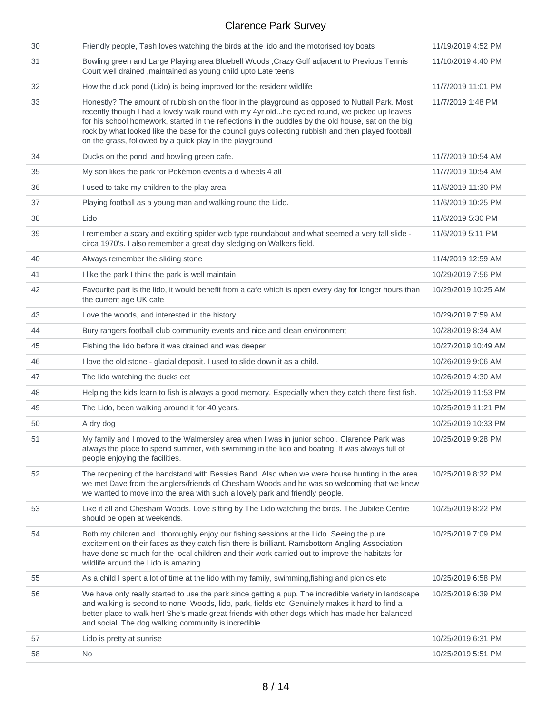| 30 | Friendly people, Tash loves watching the birds at the lido and the motorised toy boats                                                                                                                                                                                                                                                                                                                                                                                    | 11/19/2019 4:52 PM  |
|----|---------------------------------------------------------------------------------------------------------------------------------------------------------------------------------------------------------------------------------------------------------------------------------------------------------------------------------------------------------------------------------------------------------------------------------------------------------------------------|---------------------|
| 31 | Bowling green and Large Playing area Bluebell Woods , Crazy Golf adjacent to Previous Tennis<br>Court well drained , maintained as young child upto Late teens                                                                                                                                                                                                                                                                                                            | 11/10/2019 4:40 PM  |
| 32 | How the duck pond (Lido) is being improved for the resident wildlife                                                                                                                                                                                                                                                                                                                                                                                                      | 11/7/2019 11:01 PM  |
| 33 | Honestly? The amount of rubbish on the floor in the playground as opposed to Nuttall Park. Most<br>recently though I had a lovely walk round with my 4yr oldhe cycled round, we picked up leaves<br>for his school homework, started in the reflections in the puddles by the old house, sat on the big<br>rock by what looked like the base for the council guys collecting rubbish and then played football<br>on the grass, followed by a quick play in the playground | 11/7/2019 1:48 PM   |
| 34 | Ducks on the pond, and bowling green cafe.                                                                                                                                                                                                                                                                                                                                                                                                                                | 11/7/2019 10:54 AM  |
| 35 | My son likes the park for Pokémon events a d wheels 4 all                                                                                                                                                                                                                                                                                                                                                                                                                 | 11/7/2019 10:54 AM  |
| 36 | I used to take my children to the play area                                                                                                                                                                                                                                                                                                                                                                                                                               | 11/6/2019 11:30 PM  |
| 37 | Playing football as a young man and walking round the Lido.                                                                                                                                                                                                                                                                                                                                                                                                               | 11/6/2019 10:25 PM  |
| 38 | Lido                                                                                                                                                                                                                                                                                                                                                                                                                                                                      | 11/6/2019 5:30 PM   |
| 39 | I remember a scary and exciting spider web type roundabout and what seemed a very tall slide -<br>circa 1970's. I also remember a great day sledging on Walkers field.                                                                                                                                                                                                                                                                                                    | 11/6/2019 5:11 PM   |
| 40 | Always remember the sliding stone                                                                                                                                                                                                                                                                                                                                                                                                                                         | 11/4/2019 12:59 AM  |
| 41 | I like the park I think the park is well maintain                                                                                                                                                                                                                                                                                                                                                                                                                         | 10/29/2019 7:56 PM  |
| 42 | Favourite part is the lido, it would benefit from a cafe which is open every day for longer hours than<br>the current age UK cafe                                                                                                                                                                                                                                                                                                                                         | 10/29/2019 10:25 AM |
| 43 | Love the woods, and interested in the history.                                                                                                                                                                                                                                                                                                                                                                                                                            | 10/29/2019 7:59 AM  |
| 44 | Bury rangers football club community events and nice and clean environment                                                                                                                                                                                                                                                                                                                                                                                                | 10/28/2019 8:34 AM  |
| 45 | Fishing the lido before it was drained and was deeper                                                                                                                                                                                                                                                                                                                                                                                                                     | 10/27/2019 10:49 AM |
| 46 | I love the old stone - glacial deposit. I used to slide down it as a child.                                                                                                                                                                                                                                                                                                                                                                                               | 10/26/2019 9:06 AM  |
| 47 | The lido watching the ducks ect                                                                                                                                                                                                                                                                                                                                                                                                                                           | 10/26/2019 4:30 AM  |
| 48 | Helping the kids learn to fish is always a good memory. Especially when they catch there first fish.                                                                                                                                                                                                                                                                                                                                                                      | 10/25/2019 11:53 PM |
| 49 | The Lido, been walking around it for 40 years.                                                                                                                                                                                                                                                                                                                                                                                                                            | 10/25/2019 11:21 PM |
| 50 | A dry dog                                                                                                                                                                                                                                                                                                                                                                                                                                                                 | 10/25/2019 10:33 PM |
| 51 | My family and I moved to the Walmersley area when I was in junior school. Clarence Park was<br>always the place to spend summer, with swimming in the lido and boating. It was always full of<br>people enjoying the facilities.                                                                                                                                                                                                                                          | 10/25/2019 9:28 PM  |
| 52 | The reopening of the bandstand with Bessies Band. Also when we were house hunting in the area<br>we met Dave from the anglers/friends of Chesham Woods and he was so welcoming that we knew<br>we wanted to move into the area with such a lovely park and friendly people.                                                                                                                                                                                               | 10/25/2019 8:32 PM  |
| 53 | Like it all and Chesham Woods. Love sitting by The Lido watching the birds. The Jubilee Centre<br>should be open at weekends.                                                                                                                                                                                                                                                                                                                                             | 10/25/2019 8:22 PM  |
| 54 | Both my children and I thoroughly enjoy our fishing sessions at the Lido. Seeing the pure<br>excitement on their faces as they catch fish there is brilliant. Ramsbottom Angling Association<br>have done so much for the local children and their work carried out to improve the habitats for<br>wildlife around the Lido is amazing.                                                                                                                                   | 10/25/2019 7:09 PM  |
| 55 | As a child I spent a lot of time at the lido with my family, swimming, fishing and picnics etc                                                                                                                                                                                                                                                                                                                                                                            | 10/25/2019 6:58 PM  |
| 56 | We have only really started to use the park since getting a pup. The incredible variety in landscape<br>and walking is second to none. Woods, lido, park, fields etc. Genuinely makes it hard to find a<br>better place to walk her! She's made great friends with other dogs which has made her balanced<br>and social. The dog walking community is incredible.                                                                                                         | 10/25/2019 6:39 PM  |
| 57 | Lido is pretty at sunrise                                                                                                                                                                                                                                                                                                                                                                                                                                                 | 10/25/2019 6:31 PM  |
| 58 | No                                                                                                                                                                                                                                                                                                                                                                                                                                                                        | 10/25/2019 5:51 PM  |
|    |                                                                                                                                                                                                                                                                                                                                                                                                                                                                           |                     |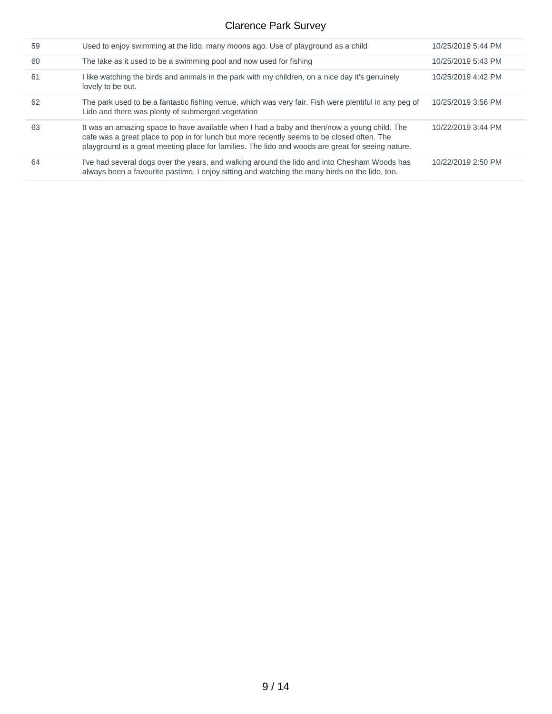| 59 | Used to enjoy swimming at the lido, many moons ago. Use of playground as a child                                                                                                                                                                                                               | 10/25/2019 5:44 PM |
|----|------------------------------------------------------------------------------------------------------------------------------------------------------------------------------------------------------------------------------------------------------------------------------------------------|--------------------|
| 60 | The lake as it used to be a swimming pool and now used for fishing                                                                                                                                                                                                                             | 10/25/2019 5:43 PM |
| 61 | I like watching the birds and animals in the park with my children, on a nice day it's genuinely<br>lovely to be out.                                                                                                                                                                          | 10/25/2019 4:42 PM |
| 62 | The park used to be a fantastic fishing venue, which was very fair. Fish were plentiful in any peg of<br>Lido and there was plenty of submerged vegetation                                                                                                                                     | 10/25/2019 3:56 PM |
| 63 | It was an amazing space to have available when I had a baby and then/now a young child. The<br>cafe was a great place to pop in for lunch but more recently seems to be closed often. The<br>playground is a great meeting place for families. The lido and woods are great for seeing nature. | 10/22/2019 3:44 PM |
| 64 | I've had several dogs over the years, and walking around the lido and into Chesham Woods has<br>always been a favourite pastime. I enjoy sitting and watching the many birds on the lido, too.                                                                                                 | 10/22/2019 2:50 PM |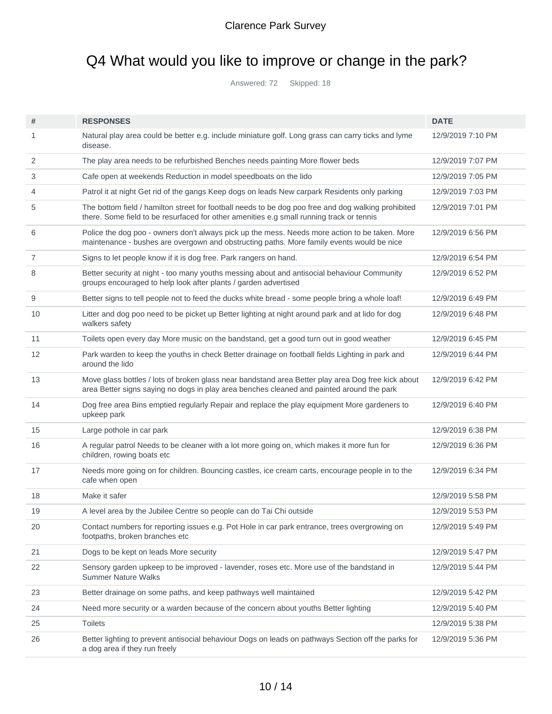# Q4 What would you like to improve or change in the park?

Answered: 72 Skipped: 18

| #              | <b>RESPONSES</b>                                                                                                                                                                                | <b>DATE</b>       |
|----------------|-------------------------------------------------------------------------------------------------------------------------------------------------------------------------------------------------|-------------------|
| 1              | Natural play area could be better e.g. include miniature golf. Long grass can carry ticks and lyme<br>disease.                                                                                  | 12/9/2019 7:10 PM |
| 2              | The play area needs to be refurbished Benches needs painting More flower beds                                                                                                                   | 12/9/2019 7:07 PM |
| 3              | Cafe open at weekends Reduction in model speedboats on the lido                                                                                                                                 | 12/9/2019 7:05 PM |
| 4              | Patrol it at night Get rid of the gangs Keep dogs on leads New carpark Residents only parking                                                                                                   | 12/9/2019 7:03 PM |
| 5              | The bottom field / hamilton street for football needs to be dog poo free and dog walking prohibited<br>there. Some field to be resurfaced for other amenities e.g small running track or tennis | 12/9/2019 7:01 PM |
| 6              | Police the dog poo - owners don't always pick up the mess. Needs more action to be taken. More<br>maintenance - bushes are overgown and obstructing paths. More family events would be nice     | 12/9/2019 6:56 PM |
| $\overline{7}$ | Signs to let people know if it is dog free. Park rangers on hand.                                                                                                                               | 12/9/2019 6:54 PM |
| 8              | Better security at night - too many youths messing about and antisocial behaviour Community<br>groups encouraged to help look after plants / garden advertised                                  | 12/9/2019 6:52 PM |
| 9              | Better signs to tell people not to feed the ducks white bread - some people bring a whole loaf!                                                                                                 | 12/9/2019 6:49 PM |
| 10             | Litter and dog poo need to be picket up Better lighting at night around park and at lido for dog<br>walkers safety                                                                              | 12/9/2019 6:48 PM |
| 11             | Toilets open every day More music on the bandstand, get a good turn out in good weather                                                                                                         | 12/9/2019 6:45 PM |
| 12             | Park warden to keep the youths in check Better drainage on football fields Lighting in park and<br>around the lido                                                                              | 12/9/2019 6:44 PM |
| 13             | Move glass bottles / lots of broken glass near bandstand area Better play area Dog free kick about<br>area Better signs saying no dogs in play area benches cleaned and painted around the park | 12/9/2019 6:42 PM |
| 14             | Dog free area Bins emptied regularly Repair and replace the play equipment More gardeners to<br>upkeep park                                                                                     | 12/9/2019 6:40 PM |
| 15             | Large pothole in car park                                                                                                                                                                       | 12/9/2019 6:38 PM |
| 16             | A regular patrol Needs to be cleaner with a lot more going on, which makes it more fun for<br>children, rowing boats etc                                                                        | 12/9/2019 6:36 PM |
| 17             | Needs more going on for children. Bouncing castles, ice cream carts, encourage people in to the<br>cafe when open                                                                               | 12/9/2019 6:34 PM |
| 18             | Make it safer                                                                                                                                                                                   | 12/9/2019 5:58 PM |
| 19             | A level area by the Jubilee Centre so people can do Tai Chi outside                                                                                                                             | 12/9/2019 5:53 PM |
| 20             | Contact numbers for reporting issues e.g. Pot Hole in car park entrance, trees overgrowing on<br>footpaths, broken branches etc                                                                 | 12/9/2019 5:49 PM |
| 21             | Dogs to be kept on leads More security                                                                                                                                                          | 12/9/2019 5:47 PM |
| 22             | Sensory garden upkeep to be improved - lavender, roses etc. More use of the bandstand in<br><b>Summer Nature Walks</b>                                                                          | 12/9/2019 5:44 PM |
| 23             | Better drainage on some paths, and keep pathways well maintained                                                                                                                                | 12/9/2019 5:42 PM |
| 24             | Need more security or a warden because of the concern about youths Better lighting                                                                                                              | 12/9/2019 5:40 PM |
| 25             | <b>Toilets</b>                                                                                                                                                                                  | 12/9/2019 5:38 PM |
| 26             | Better lighting to prevent antisocial behaviour Dogs on leads on pathways Section off the parks for<br>a dog area if they run freely                                                            | 12/9/2019 5:36 PM |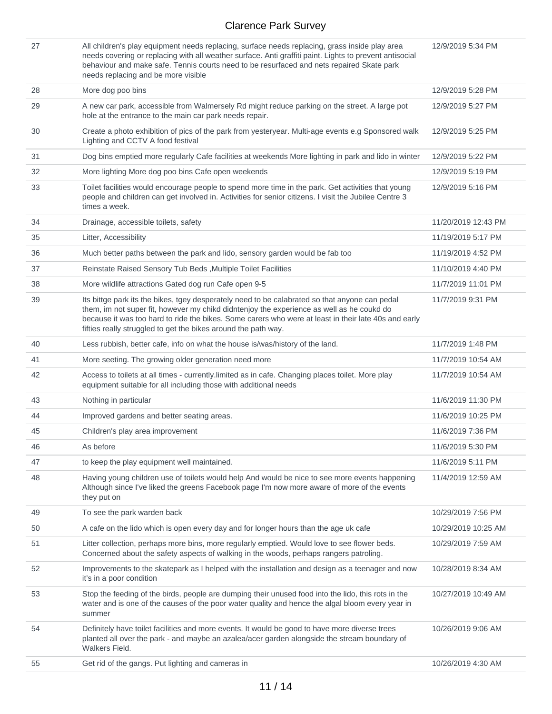| 27 | All children's play equipment needs replacing, surface needs replacing, grass inside play area<br>needs covering or replacing with all weather surface. Anti graffiti paint. Lights to prevent antisocial<br>behaviour and make safe. Tennis courts need to be resurfaced and nets repaired Skate park<br>needs replacing and be more visible                         | 12/9/2019 5:34 PM   |
|----|-----------------------------------------------------------------------------------------------------------------------------------------------------------------------------------------------------------------------------------------------------------------------------------------------------------------------------------------------------------------------|---------------------|
| 28 | More dog poo bins                                                                                                                                                                                                                                                                                                                                                     | 12/9/2019 5:28 PM   |
| 29 | A new car park, accessible from Walmersely Rd might reduce parking on the street. A large pot<br>hole at the entrance to the main car park needs repair.                                                                                                                                                                                                              | 12/9/2019 5:27 PM   |
| 30 | Create a photo exhibition of pics of the park from yesteryear. Multi-age events e.g Sponsored walk<br>Lighting and CCTV A food festival                                                                                                                                                                                                                               | 12/9/2019 5:25 PM   |
| 31 | Dog bins emptied more regularly Cafe facilities at weekends More lighting in park and lido in winter                                                                                                                                                                                                                                                                  | 12/9/2019 5:22 PM   |
| 32 | More lighting More dog poo bins Cafe open weekends                                                                                                                                                                                                                                                                                                                    | 12/9/2019 5:19 PM   |
| 33 | Toilet facilities would encourage people to spend more time in the park. Get activities that young<br>people and children can get involved in. Activities for senior citizens. I visit the Jubilee Centre 3<br>times a week.                                                                                                                                          | 12/9/2019 5:16 PM   |
| 34 | Drainage, accessible toilets, safety                                                                                                                                                                                                                                                                                                                                  | 11/20/2019 12:43 PM |
| 35 | Litter, Accessibility                                                                                                                                                                                                                                                                                                                                                 | 11/19/2019 5:17 PM  |
| 36 | Much better paths between the park and lido, sensory garden would be fab too                                                                                                                                                                                                                                                                                          | 11/19/2019 4:52 PM  |
| 37 | Reinstate Raised Sensory Tub Beds, Multiple Toilet Facilities                                                                                                                                                                                                                                                                                                         | 11/10/2019 4:40 PM  |
| 38 | More wildlife attractions Gated dog run Cafe open 9-5                                                                                                                                                                                                                                                                                                                 | 11/7/2019 11:01 PM  |
| 39 | Its bittge park its the bikes, tgey desperately need to be calabrated so that anyone can pedal<br>them, im not super fit, however my chikd didntenjoy the experience as well as he coukd do<br>because it was too hard to ride the bikes. Some carers who were at least in their late 40s and early<br>fifties really struggled to get the bikes around the path way. | 11/7/2019 9:31 PM   |
| 40 | Less rubbish, better cafe, info on what the house is/was/history of the land.                                                                                                                                                                                                                                                                                         | 11/7/2019 1:48 PM   |
| 41 | More seeting. The growing older generation need more                                                                                                                                                                                                                                                                                                                  | 11/7/2019 10:54 AM  |
| 42 | Access to toilets at all times - currently.limited as in cafe. Changing places toilet. More play<br>equipment suitable for all including those with additional needs                                                                                                                                                                                                  | 11/7/2019 10:54 AM  |
| 43 | Nothing in particular                                                                                                                                                                                                                                                                                                                                                 | 11/6/2019 11:30 PM  |
| 44 | Improved gardens and better seating areas.                                                                                                                                                                                                                                                                                                                            | 11/6/2019 10:25 PM  |
| 45 | Children's play area improvement                                                                                                                                                                                                                                                                                                                                      | 11/6/2019 7:36 PM   |
| 46 | As before                                                                                                                                                                                                                                                                                                                                                             | 11/6/2019 5:30 PM   |
| 47 |                                                                                                                                                                                                                                                                                                                                                                       |                     |
|    | to keep the play equipment well maintained.                                                                                                                                                                                                                                                                                                                           | 11/6/2019 5:11 PM   |
| 48 | Having young children use of toilets would help And would be nice to see more events happening<br>Although since I've liked the greens Facebook page I'm now more aware of more of the events<br>they put on                                                                                                                                                          | 11/4/2019 12:59 AM  |
| 49 | To see the park warden back                                                                                                                                                                                                                                                                                                                                           | 10/29/2019 7:56 PM  |
| 50 | A cafe on the lido which is open every day and for longer hours than the age uk cafe                                                                                                                                                                                                                                                                                  | 10/29/2019 10:25 AM |
| 51 | Litter collection, perhaps more bins, more regularly emptied. Would love to see flower beds.<br>Concerned about the safety aspects of walking in the woods, perhaps rangers patroling.                                                                                                                                                                                | 10/29/2019 7:59 AM  |
| 52 | Improvements to the skatepark as I helped with the installation and design as a teenager and now<br>it's in a poor condition                                                                                                                                                                                                                                          | 10/28/2019 8:34 AM  |
| 53 | Stop the feeding of the birds, people are dumping their unused food into the lido, this rots in the<br>water and is one of the causes of the poor water quality and hence the algal bloom every year in<br>summer                                                                                                                                                     | 10/27/2019 10:49 AM |
| 54 | Definitely have toilet facilities and more events. It would be good to have more diverse trees<br>planted all over the park - and maybe an azalea/acer garden alongside the stream boundary of<br>Walkers Field.                                                                                                                                                      | 10/26/2019 9:06 AM  |
| 55 | Get rid of the gangs. Put lighting and cameras in                                                                                                                                                                                                                                                                                                                     | 10/26/2019 4:30 AM  |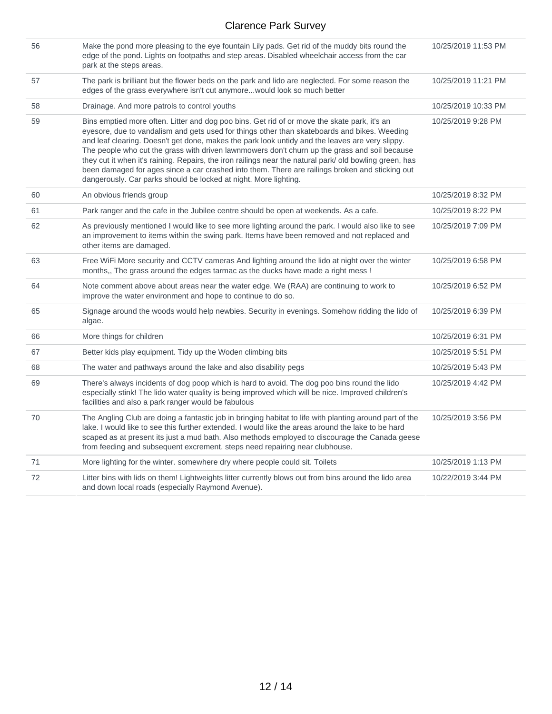| 56 | Make the pond more pleasing to the eye fountain Lily pads. Get rid of the muddy bits round the<br>edge of the pond. Lights on footpaths and step areas. Disabled wheelchair access from the car<br>park at the steps areas.                                                                                                                                                                                                                                                                                                                                                                                                                                                        | 10/25/2019 11:53 PM |
|----|------------------------------------------------------------------------------------------------------------------------------------------------------------------------------------------------------------------------------------------------------------------------------------------------------------------------------------------------------------------------------------------------------------------------------------------------------------------------------------------------------------------------------------------------------------------------------------------------------------------------------------------------------------------------------------|---------------------|
| 57 | The park is brilliant but the flower beds on the park and lido are neglected. For some reason the<br>edges of the grass everywhere isn't cut anymore would look so much better                                                                                                                                                                                                                                                                                                                                                                                                                                                                                                     | 10/25/2019 11:21 PM |
| 58 | Drainage. And more patrols to control youths                                                                                                                                                                                                                                                                                                                                                                                                                                                                                                                                                                                                                                       | 10/25/2019 10:33 PM |
| 59 | Bins emptied more often. Litter and dog poo bins. Get rid of or move the skate park, it's an<br>eyesore, due to vandalism and gets used for things other than skateboards and bikes. Weeding<br>and leaf clearing. Doesn't get done, makes the park look untidy and the leaves are very slippy.<br>The people who cut the grass with driven lawnmowers don't churn up the grass and soil because<br>they cut it when it's raining. Repairs, the iron railings near the natural park/ old bowling green, has<br>been damaged for ages since a car crashed into them. There are railings broken and sticking out<br>dangerously. Car parks should be locked at night. More lighting. | 10/25/2019 9:28 PM  |
| 60 | An obvious friends group                                                                                                                                                                                                                                                                                                                                                                                                                                                                                                                                                                                                                                                           | 10/25/2019 8:32 PM  |
| 61 | Park ranger and the cafe in the Jubilee centre should be open at weekends. As a cafe.                                                                                                                                                                                                                                                                                                                                                                                                                                                                                                                                                                                              | 10/25/2019 8:22 PM  |
| 62 | As previously mentioned I would like to see more lighting around the park. I would also like to see<br>an improvement to items within the swing park. Items have been removed and not replaced and<br>other items are damaged.                                                                                                                                                                                                                                                                                                                                                                                                                                                     | 10/25/2019 7:09 PM  |
| 63 | Free WiFi More security and CCTV cameras And lighting around the lido at night over the winter<br>months,, The grass around the edges tarmac as the ducks have made a right mess !                                                                                                                                                                                                                                                                                                                                                                                                                                                                                                 | 10/25/2019 6:58 PM  |
| 64 | Note comment above about areas near the water edge. We (RAA) are continuing to work to<br>improve the water environment and hope to continue to do so.                                                                                                                                                                                                                                                                                                                                                                                                                                                                                                                             | 10/25/2019 6:52 PM  |
| 65 | Signage around the woods would help newbies. Security in evenings. Somehow ridding the lido of<br>algae.                                                                                                                                                                                                                                                                                                                                                                                                                                                                                                                                                                           | 10/25/2019 6:39 PM  |
| 66 | More things for children                                                                                                                                                                                                                                                                                                                                                                                                                                                                                                                                                                                                                                                           | 10/25/2019 6:31 PM  |
| 67 | Better kids play equipment. Tidy up the Woden climbing bits                                                                                                                                                                                                                                                                                                                                                                                                                                                                                                                                                                                                                        | 10/25/2019 5:51 PM  |
| 68 | The water and pathways around the lake and also disability pegs                                                                                                                                                                                                                                                                                                                                                                                                                                                                                                                                                                                                                    | 10/25/2019 5:43 PM  |
| 69 | There's always incidents of dog poop which is hard to avoid. The dog poo bins round the lido<br>especially stink! The lido water quality is being improved which will be nice. Improved children's<br>facilities and also a park ranger would be fabulous                                                                                                                                                                                                                                                                                                                                                                                                                          | 10/25/2019 4:42 PM  |
| 70 | The Angling Club are doing a fantastic job in bringing habitat to life with planting around part of the<br>lake. I would like to see this further extended. I would like the areas around the lake to be hard<br>scaped as at present its just a mud bath. Also methods employed to discourage the Canada geese<br>from feeding and subsequent excrement. steps need repairing near clubhouse.                                                                                                                                                                                                                                                                                     | 10/25/2019 3:56 PM  |
| 71 | More lighting for the winter. somewhere dry where people could sit. Toilets                                                                                                                                                                                                                                                                                                                                                                                                                                                                                                                                                                                                        | 10/25/2019 1:13 PM  |
| 72 | Litter bins with lids on them! Lightweights litter currently blows out from bins around the lido area<br>and down local roads (especially Raymond Avenue).                                                                                                                                                                                                                                                                                                                                                                                                                                                                                                                         | 10/22/2019 3:44 PM  |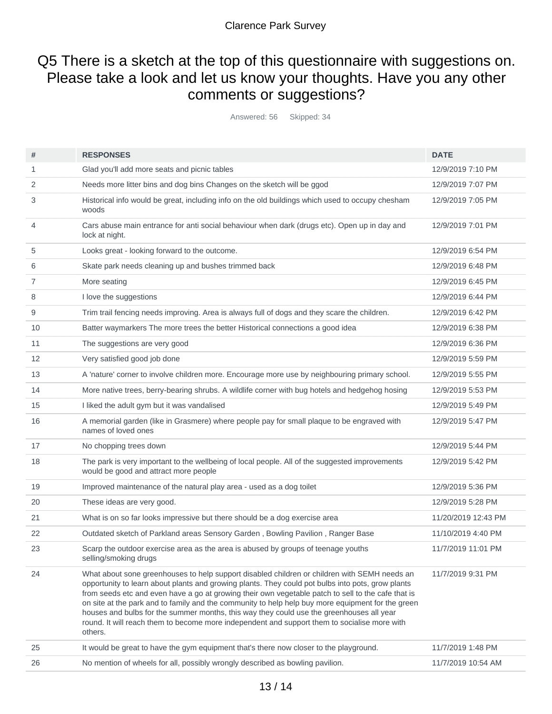## Q5 There is a sketch at the top of this questionnaire with suggestions on. Please take a look and let us know your thoughts. Have you any other comments or suggestions?

Answered: 56 Skipped: 34

| #  | <b>RESPONSES</b>                                                                                                                                                                                                                                                                                                                                                                                                                                                                                                                                                                                                    | <b>DATE</b>         |
|----|---------------------------------------------------------------------------------------------------------------------------------------------------------------------------------------------------------------------------------------------------------------------------------------------------------------------------------------------------------------------------------------------------------------------------------------------------------------------------------------------------------------------------------------------------------------------------------------------------------------------|---------------------|
| 1  | Glad you'll add more seats and picnic tables                                                                                                                                                                                                                                                                                                                                                                                                                                                                                                                                                                        | 12/9/2019 7:10 PM   |
| 2  | Needs more litter bins and dog bins Changes on the sketch will be ggod                                                                                                                                                                                                                                                                                                                                                                                                                                                                                                                                              | 12/9/2019 7:07 PM   |
| 3  | Historical info would be great, including info on the old buildings which used to occupy chesham<br>woods                                                                                                                                                                                                                                                                                                                                                                                                                                                                                                           | 12/9/2019 7:05 PM   |
| 4  | Cars abuse main entrance for anti social behaviour when dark (drugs etc). Open up in day and<br>lock at night.                                                                                                                                                                                                                                                                                                                                                                                                                                                                                                      | 12/9/2019 7:01 PM   |
| 5  | Looks great - looking forward to the outcome.                                                                                                                                                                                                                                                                                                                                                                                                                                                                                                                                                                       | 12/9/2019 6:54 PM   |
| 6  | Skate park needs cleaning up and bushes trimmed back                                                                                                                                                                                                                                                                                                                                                                                                                                                                                                                                                                | 12/9/2019 6:48 PM   |
| 7  | More seating                                                                                                                                                                                                                                                                                                                                                                                                                                                                                                                                                                                                        | 12/9/2019 6:45 PM   |
| 8  | I love the suggestions                                                                                                                                                                                                                                                                                                                                                                                                                                                                                                                                                                                              | 12/9/2019 6:44 PM   |
| 9  | Trim trail fencing needs improving. Area is always full of dogs and they scare the children.                                                                                                                                                                                                                                                                                                                                                                                                                                                                                                                        | 12/9/2019 6:42 PM   |
| 10 | Batter waymarkers The more trees the better Historical connections a good idea                                                                                                                                                                                                                                                                                                                                                                                                                                                                                                                                      | 12/9/2019 6:38 PM   |
| 11 | The suggestions are very good                                                                                                                                                                                                                                                                                                                                                                                                                                                                                                                                                                                       | 12/9/2019 6:36 PM   |
| 12 | Very satisfied good job done                                                                                                                                                                                                                                                                                                                                                                                                                                                                                                                                                                                        | 12/9/2019 5:59 PM   |
| 13 | A 'nature' corner to involve children more. Encourage more use by neighbouring primary school.                                                                                                                                                                                                                                                                                                                                                                                                                                                                                                                      | 12/9/2019 5:55 PM   |
| 14 | More native trees, berry-bearing shrubs. A wildlife corner with bug hotels and hedgehog hosing                                                                                                                                                                                                                                                                                                                                                                                                                                                                                                                      | 12/9/2019 5:53 PM   |
| 15 | I liked the adult gym but it was vandalised                                                                                                                                                                                                                                                                                                                                                                                                                                                                                                                                                                         | 12/9/2019 5:49 PM   |
| 16 | A memorial garden (like in Grasmere) where people pay for small plaque to be engraved with<br>names of loved ones                                                                                                                                                                                                                                                                                                                                                                                                                                                                                                   | 12/9/2019 5:47 PM   |
| 17 | No chopping trees down                                                                                                                                                                                                                                                                                                                                                                                                                                                                                                                                                                                              | 12/9/2019 5:44 PM   |
| 18 | The park is very important to the wellbeing of local people. All of the suggested improvements<br>would be good and attract more people                                                                                                                                                                                                                                                                                                                                                                                                                                                                             | 12/9/2019 5:42 PM   |
| 19 | Improved maintenance of the natural play area - used as a dog toilet                                                                                                                                                                                                                                                                                                                                                                                                                                                                                                                                                | 12/9/2019 5:36 PM   |
| 20 | These ideas are very good.                                                                                                                                                                                                                                                                                                                                                                                                                                                                                                                                                                                          | 12/9/2019 5:28 PM   |
| 21 | What is on so far looks impressive but there should be a dog exercise area                                                                                                                                                                                                                                                                                                                                                                                                                                                                                                                                          | 11/20/2019 12:43 PM |
| 22 | Outdated sketch of Parkland areas Sensory Garden, Bowling Pavilion, Ranger Base                                                                                                                                                                                                                                                                                                                                                                                                                                                                                                                                     | 11/10/2019 4:40 PM  |
| 23 | Scarp the outdoor exercise area as the area is abused by groups of teenage youths<br>selling/smoking drugs                                                                                                                                                                                                                                                                                                                                                                                                                                                                                                          | 11/7/2019 11:01 PM  |
| 24 | What about sone greenhouses to help support disabled children or children with SEMH needs an<br>opportunity to learn about plants and growing plants. They could pot bulbs into pots, grow plants<br>from seeds etc and even have a go at growing their own vegetable patch to sell to the cafe that is<br>on site at the park and to family and the community to help help buy more equipment for the green<br>houses and bulbs for the summer months, this way they could use the greenhouses all year<br>round. It will reach them to become more independent and support them to socialise more with<br>others. | 11/7/2019 9:31 PM   |
| 25 | It would be great to have the gym equipment that's there now closer to the playground.                                                                                                                                                                                                                                                                                                                                                                                                                                                                                                                              | 11/7/2019 1:48 PM   |
| 26 | No mention of wheels for all, possibly wrongly described as bowling pavilion.                                                                                                                                                                                                                                                                                                                                                                                                                                                                                                                                       | 11/7/2019 10:54 AM  |